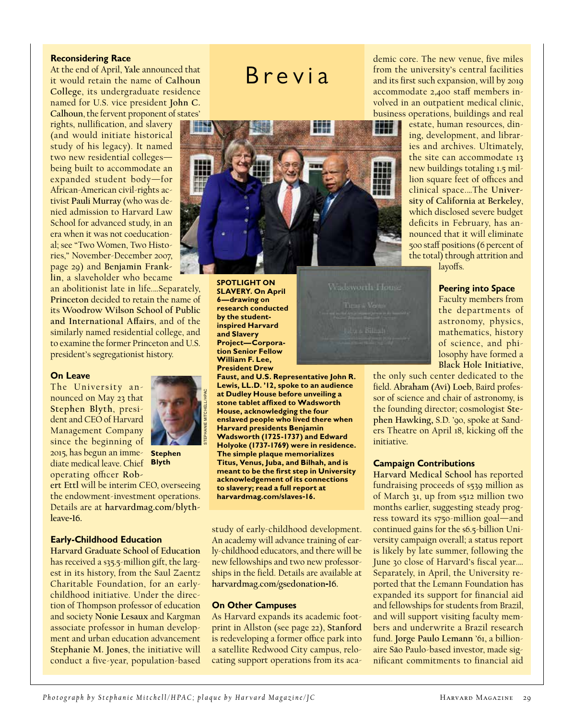## **Reconsidering Race**

At the end of April, **Yale** announced that it would retain the name of **Calhoun College**, its undergraduate residence named for U.S. vice president **John C. Calhoun**, the fervent proponent of states'

rights, nullification, and slavery (and would initiate historical study of his legacy). It named two new residential colleges being built to accommodate an expanded student body—for African-American civil-rights activist **Pauli Murray** (who was denied admission to Harvard Law School for advanced study, in an era when it was not coeducational; see "Two Women, Two Histories," November-December 2007, page 29) and **Benjamin Franklin**, a slaveholder who became

an abolitionist late in life.…Separately, **Princeton** decided to retain the name of its **Woodrow Wilson School of Public and International Affairs**, and of the similarly named residential college, and to examine the former Princeton and U.S. president's segregationist history.

### **On Leave**

The University announced on May 23 that **Stephen Blyth**, president and CEO of Harvard Management Company since the beginning of 2015, has begun an imme-**Stephen**  diate medical leave. Chief **Blyth** operating officer **Rob-**



**ert Ettl** will be interim CEO, overseeing the endowment-investment operations. Details are at **harvardmag.com/blythleave**-**16.**

# **Early-Childhood Education**

**Harvard Graduate School of Education** has received a  $$35.5$ -million gift, the largest in its history, from the Saul Zaentz Charitable Foundation, for an earlychildhood initiative. Under the direction of Thompson professor of education and society **Nonie Lesaux** and Kargman associate professor in human development and urban education advancement **Stephanie M. Jones**, the initiative will conduct a five-year, population-based





**SPOTLIGHT ON SLAVERY. On April 6—drawing on research conducted by the studentinspired Harvard and Slavery Project—Corporation Senior Fellow William F. Lee, President Drew** 

**Faust, and U.S. Representative John R. Lewis, LL.D. '12, spoke to an audience at Dudley House before unveiling a stone tablet affixed to Wadsworth House, acknowledging the four enslaved people who lived there when Harvard presidents Benjamin Wadsworth (1725-1737) and Edward Holyoke (1737-1769) were in residence. The simple plaque memorializes Titus, Venus, Juba, and Bilhah, and is meant to be the first step in University acknowledgement of its connections to slavery; read a full report at harvardmag.com/slaves-16.**

study of early-childhood development. An academy will advance training of early-childhood educators, and there will be new fellowships and two new professorships in the field. Details are available at **harvardmag.com/gsedonation-16.**

### **On Other Campuses**

As Harvard expands its academic footprint in Allston (see page 22), **Stanford** is redeveloping a former office park into a satellite Redwood City campus, relocating support operations from its academic core. The new venue, five miles from the university's central facilities and its first such expansion, will by 2019 accommodate 2,400 staff members involved in an outpatient medical clinic, business operations, buildings and real

estate, human resources, dining, development, and libraries and archives. Ultimately, the site can accommodate 13 new buildings totaling 1.5 million square feet of offices and clinical space.…The **University of California at Berkeley**, which disclosed severe budget deficits in February, has announced that it will eliminate 500 staff positions (6 percent of the total) through attrition and layoffs.

#### **Peering into Space**

Faculty members from the departments of astronomy, physics, mathematics, history of science, and philosophy have formed a **Black Hole Initiative**,

the only such center dedicated to the field. **Abraham (Avi) Loeb**, Baird professor of science and chair of astronomy, is the founding director; cosmologist **Stephen Hawking,** S.D. '90, spoke at Sanders Theatre on April 18, kicking off the initiative.

#### **Campaign Contributions**

**Harvard Medical School** has reported fundraising proceeds of \$539 million as of March 31, up from \$512 million two months earlier, suggesting steady progress toward its \$750-million goal—and continued gains for the \$6.5-billion University campaign overall; a status report is likely by late summer, following the June 30 close of Harvard's fiscal year.… Separately, in April, the University reported that the Lemann Foundation has expanded its support for financial aid and fellowships for students from Brazil, and will support visiting faculty members and underwrite a Brazil research fund. **Jorge Paulo Lemann** '61, a billionaire S**ã**o Paulo-based investor, made significant commitments to financial aid